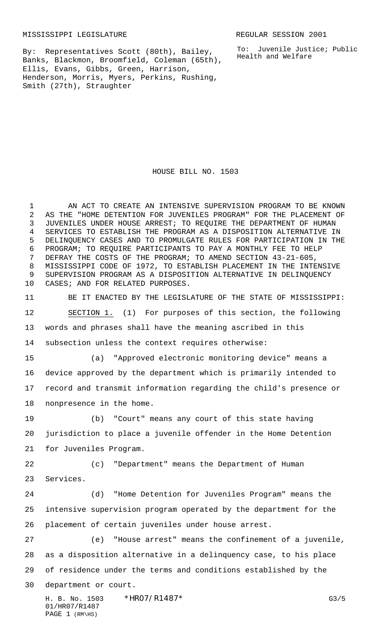MISSISSIPPI LEGISLATURE **REGULAR SESSION 2001** 

By: Representatives Scott (80th), Bailey, Banks, Blackmon, Broomfield, Coleman (65th), Ellis, Evans, Gibbs, Green, Harrison, Henderson, Morris, Myers, Perkins, Rushing, Smith (27th), Straughter

To: Juvenile Justice; Public Health and Welfare

HOUSE BILL NO. 1503

 AN ACT TO CREATE AN INTENSIVE SUPERVISION PROGRAM TO BE KNOWN AS THE "HOME DETENTION FOR JUVENILES PROGRAM" FOR THE PLACEMENT OF JUVENILES UNDER HOUSE ARREST; TO REQUIRE THE DEPARTMENT OF HUMAN SERVICES TO ESTABLISH THE PROGRAM AS A DISPOSITION ALTERNATIVE IN DELINQUENCY CASES AND TO PROMULGATE RULES FOR PARTICIPATION IN THE PROGRAM; TO REQUIRE PARTICIPANTS TO PAY A MONTHLY FEE TO HELP DEFRAY THE COSTS OF THE PROGRAM; TO AMEND SECTION 43-21-605, MISSISSIPPI CODE OF 1972, TO ESTABLISH PLACEMENT IN THE INTENSIVE SUPERVISION PROGRAM AS A DISPOSITION ALTERNATIVE IN DELINQUENCY CASES; AND FOR RELATED PURPOSES.

 BE IT ENACTED BY THE LEGISLATURE OF THE STATE OF MISSISSIPPI: SECTION 1. (1) For purposes of this section, the following words and phrases shall have the meaning ascribed in this subsection unless the context requires otherwise:

 (a) "Approved electronic monitoring device" means a device approved by the department which is primarily intended to record and transmit information regarding the child's presence or nonpresence in the home.

 (b) "Court" means any court of this state having jurisdiction to place a juvenile offender in the Home Detention for Juveniles Program.

 (c) "Department" means the Department of Human Services.

 (d) "Home Detention for Juveniles Program" means the intensive supervision program operated by the department for the placement of certain juveniles under house arrest.

 (e) "House arrest" means the confinement of a juvenile, as a disposition alternative in a delinquency case, to his place of residence under the terms and conditions established by the department or court.

H. B. No. 1503 \*HRO7/R1487\* G3/5 01/HR07/R1487 PAGE (RM\HS)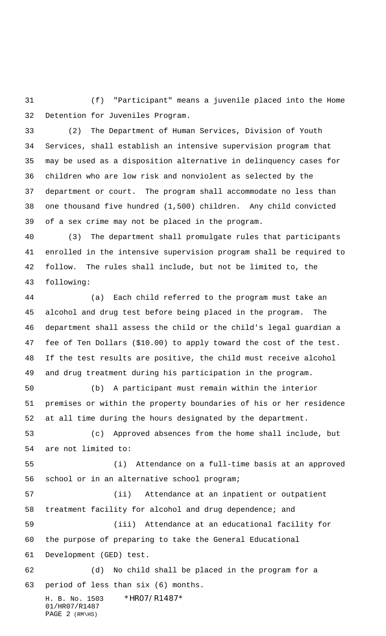(f) "Participant" means a juvenile placed into the Home Detention for Juveniles Program.

 (2) The Department of Human Services, Division of Youth Services, shall establish an intensive supervision program that may be used as a disposition alternative in delinquency cases for children who are low risk and nonviolent as selected by the department or court. The program shall accommodate no less than one thousand five hundred (1,500) children. Any child convicted of a sex crime may not be placed in the program.

 (3) The department shall promulgate rules that participants enrolled in the intensive supervision program shall be required to follow. The rules shall include, but not be limited to, the following:

 (a) Each child referred to the program must take an alcohol and drug test before being placed in the program. The department shall assess the child or the child's legal guardian a fee of Ten Dollars (\$10.00) to apply toward the cost of the test. If the test results are positive, the child must receive alcohol and drug treatment during his participation in the program.

 (b) A participant must remain within the interior premises or within the property boundaries of his or her residence at all time during the hours designated by the department.

 (c) Approved absences from the home shall include, but are not limited to:

 (i) Attendance on a full-time basis at an approved school or in an alternative school program;

 (ii) Attendance at an inpatient or outpatient treatment facility for alcohol and drug dependence; and

 (iii) Attendance at an educational facility for the purpose of preparing to take the General Educational Development (GED) test.

 (d) No child shall be placed in the program for a period of less than six (6) months.

H. B. No. 1503 \*HRO7/R1487\* 01/HR07/R1487 PAGE (RM\HS)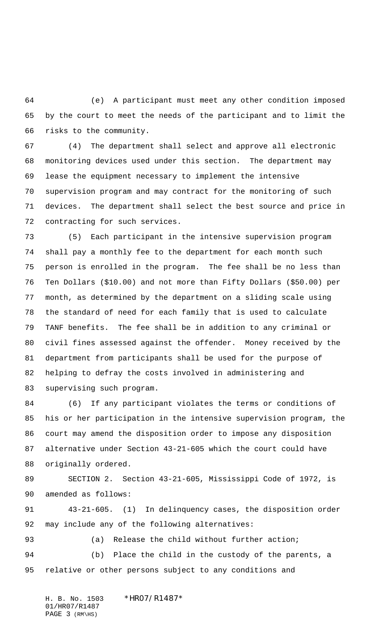(e) A participant must meet any other condition imposed by the court to meet the needs of the participant and to limit the risks to the community.

 (4) The department shall select and approve all electronic monitoring devices used under this section. The department may lease the equipment necessary to implement the intensive supervision program and may contract for the monitoring of such devices. The department shall select the best source and price in contracting for such services.

 (5) Each participant in the intensive supervision program shall pay a monthly fee to the department for each month such person is enrolled in the program. The fee shall be no less than Ten Dollars (\$10.00) and not more than Fifty Dollars (\$50.00) per month, as determined by the department on a sliding scale using the standard of need for each family that is used to calculate TANF benefits. The fee shall be in addition to any criminal or civil fines assessed against the offender. Money received by the department from participants shall be used for the purpose of helping to defray the costs involved in administering and supervising such program.

 (6) If any participant violates the terms or conditions of his or her participation in the intensive supervision program, the court may amend the disposition order to impose any disposition alternative under Section 43-21-605 which the court could have originally ordered.

 SECTION 2. Section 43-21-605, Mississippi Code of 1972, is amended as follows:

 43-21-605. (1) In delinquency cases, the disposition order may include any of the following alternatives:

93 (a) Release the child without further action; (b) Place the child in the custody of the parents, a relative or other persons subject to any conditions and

H. B. No. 1503 \*HR07/R1487\* 01/HR07/R1487 PAGE (RM\HS)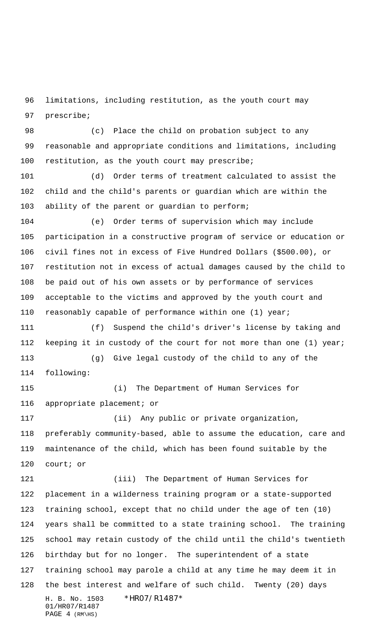limitations, including restitution, as the youth court may prescribe;

 (c) Place the child on probation subject to any reasonable and appropriate conditions and limitations, including 100 restitution, as the youth court may prescribe;

 (d) Order terms of treatment calculated to assist the child and the child's parents or guardian which are within the ability of the parent or guardian to perform;

 (e) Order terms of supervision which may include participation in a constructive program of service or education or civil fines not in excess of Five Hundred Dollars (\$500.00), or restitution not in excess of actual damages caused by the child to be paid out of his own assets or by performance of services acceptable to the victims and approved by the youth court and reasonably capable of performance within one (1) year;

 (f) Suspend the child's driver's license by taking and keeping it in custody of the court for not more than one (1) year; (g) Give legal custody of the child to any of the

following:

 (i) The Department of Human Services for appropriate placement; or

 (ii) Any public or private organization, preferably community-based, able to assume the education, care and maintenance of the child, which has been found suitable by the court; or

H. B. No. 1503 \*HR07/R1487\* 01/HR07/R1487 PAGE (RM\HS) (iii) The Department of Human Services for placement in a wilderness training program or a state-supported training school, except that no child under the age of ten (10) years shall be committed to a state training school. The training school may retain custody of the child until the child's twentieth birthday but for no longer. The superintendent of a state training school may parole a child at any time he may deem it in the best interest and welfare of such child. Twenty (20) days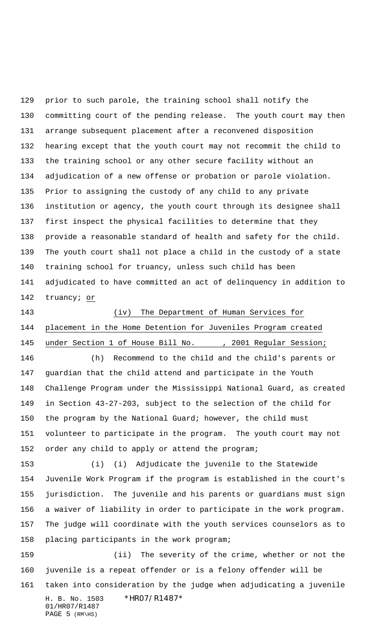prior to such parole, the training school shall notify the committing court of the pending release. The youth court may then arrange subsequent placement after a reconvened disposition hearing except that the youth court may not recommit the child to the training school or any other secure facility without an adjudication of a new offense or probation or parole violation. Prior to assigning the custody of any child to any private institution or agency, the youth court through its designee shall first inspect the physical facilities to determine that they provide a reasonable standard of health and safety for the child. The youth court shall not place a child in the custody of a state training school for truancy, unless such child has been adjudicated to have committed an act of delinquency in addition to truancy; or

 (iv) The Department of Human Services for placement in the Home Detention for Juveniles Program created 145 under Section 1 of House Bill No. (a) 7 2001 Regular Session;

 (h) Recommend to the child and the child's parents or guardian that the child attend and participate in the Youth Challenge Program under the Mississippi National Guard, as created in Section 43-27-203, subject to the selection of the child for the program by the National Guard; however, the child must volunteer to participate in the program. The youth court may not order any child to apply or attend the program;

 (i) (i) Adjudicate the juvenile to the Statewide Juvenile Work Program if the program is established in the court's jurisdiction. The juvenile and his parents or guardians must sign a waiver of liability in order to participate in the work program. The judge will coordinate with the youth services counselors as to placing participants in the work program;

H. B. No. 1503 \*HR07/R1487\* 01/HR07/R1487 PAGE (RM\HS) (ii) The severity of the crime, whether or not the juvenile is a repeat offender or is a felony offender will be taken into consideration by the judge when adjudicating a juvenile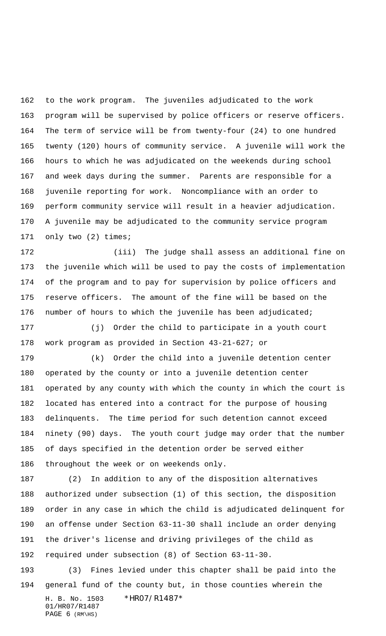to the work program. The juveniles adjudicated to the work program will be supervised by police officers or reserve officers. The term of service will be from twenty-four (24) to one hundred twenty (120) hours of community service. A juvenile will work the hours to which he was adjudicated on the weekends during school and week days during the summer. Parents are responsible for a juvenile reporting for work. Noncompliance with an order to perform community service will result in a heavier adjudication. A juvenile may be adjudicated to the community service program only two (2) times;

 (iii) The judge shall assess an additional fine on the juvenile which will be used to pay the costs of implementation of the program and to pay for supervision by police officers and reserve officers. The amount of the fine will be based on the number of hours to which the juvenile has been adjudicated;

 (j) Order the child to participate in a youth court work program as provided in Section 43-21-627; or

 (k) Order the child into a juvenile detention center operated by the county or into a juvenile detention center operated by any county with which the county in which the court is located has entered into a contract for the purpose of housing delinquents. The time period for such detention cannot exceed ninety (90) days. The youth court judge may order that the number of days specified in the detention order be served either throughout the week or on weekends only.

 (2) In addition to any of the disposition alternatives authorized under subsection (1) of this section, the disposition order in any case in which the child is adjudicated delinquent for an offense under Section 63-11-30 shall include an order denying the driver's license and driving privileges of the child as required under subsection (8) of Section 63-11-30.

H. B. No. 1503 \*HR07/R1487\* 01/HR07/R1487 PAGE (RM\HS) (3) Fines levied under this chapter shall be paid into the general fund of the county but, in those counties wherein the